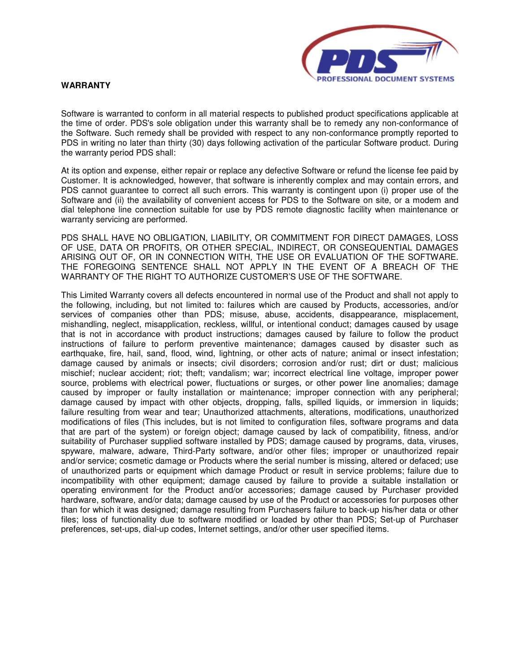

## **WARRANTY**

Software is warranted to conform in all material respects to published product specifications applicable at the time of order. PDS's sole obligation under this warranty shall be to remedy any non-conformance of the Software. Such remedy shall be provided with respect to any non-conformance promptly reported to PDS in writing no later than thirty (30) days following activation of the particular Software product. During the warranty period PDS shall:

At its option and expense, either repair or replace any defective Software or refund the license fee paid by Customer. It is acknowledged, however, that software is inherently complex and may contain errors, and PDS cannot guarantee to correct all such errors. This warranty is contingent upon (i) proper use of the Software and (ii) the availability of convenient access for PDS to the Software on site, or a modem and dial telephone line connection suitable for use by PDS remote diagnostic facility when maintenance or warranty servicing are performed.

PDS SHALL HAVE NO OBLIGATION, LIABILITY, OR COMMITMENT FOR DIRECT DAMAGES, LOSS OF USE, DATA OR PROFITS, OR OTHER SPECIAL, INDIRECT, OR CONSEQUENTIAL DAMAGES ARISING OUT OF, OR IN CONNECTION WITH, THE USE OR EVALUATION OF THE SOFTWARE. THE FOREGOING SENTENCE SHALL NOT APPLY IN THE EVENT OF A BREACH OF THE WARRANTY OF THE RIGHT TO AUTHORIZE CUSTOMER'S USE OF THE SOFTWARE.

This Limited Warranty covers all defects encountered in normal use of the Product and shall not apply to the following, including, but not limited to: failures which are caused by Products, accessories, and/or services of companies other than PDS; misuse, abuse, accidents, disappearance, misplacement, mishandling, neglect, misapplication, reckless, willful, or intentional conduct; damages caused by usage that is not in accordance with product instructions; damages caused by failure to follow the product instructions of failure to perform preventive maintenance; damages caused by disaster such as earthquake, fire, hail, sand, flood, wind, lightning, or other acts of nature; animal or insect infestation; damage caused by animals or insects; civil disorders; corrosion and/or rust; dirt or dust; malicious mischief; nuclear accident; riot; theft; vandalism; war; incorrect electrical line voltage, improper power source, problems with electrical power, fluctuations or surges, or other power line anomalies; damage caused by improper or faulty installation or maintenance; improper connection with any peripheral; damage caused by impact with other objects, dropping, falls, spilled liquids, or immersion in liquids; failure resulting from wear and tear; Unauthorized attachments, alterations, modifications, unauthorized modifications of files (This includes, but is not limited to configuration files, software programs and data that are part of the system) or foreign object; damage caused by lack of compatibility, fitness, and/or suitability of Purchaser supplied software installed by PDS; damage caused by programs, data, viruses, spyware, malware, adware, Third-Party software, and/or other files; improper or unauthorized repair and/or service; cosmetic damage or Products where the serial number is missing, altered or defaced; use of unauthorized parts or equipment which damage Product or result in service problems; failure due to incompatibility with other equipment; damage caused by failure to provide a suitable installation or operating environment for the Product and/or accessories; damage caused by Purchaser provided hardware, software, and/or data; damage caused by use of the Product or accessories for purposes other than for which it was designed; damage resulting from Purchasers failure to back-up his/her data or other files; loss of functionality due to software modified or loaded by other than PDS; Set-up of Purchaser preferences, set-ups, dial-up codes, Internet settings, and/or other user specified items.